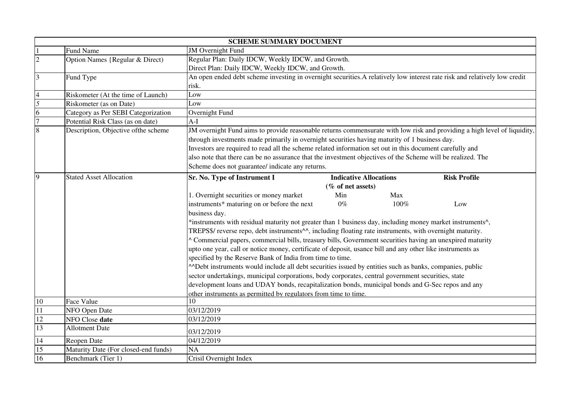|                          | <b>SCHEME SUMMARY DOCUMENT</b>       |                                                                                                                                                                                                                                                                                                                                                                                                                                                               |                               |      |                     |  |
|--------------------------|--------------------------------------|---------------------------------------------------------------------------------------------------------------------------------------------------------------------------------------------------------------------------------------------------------------------------------------------------------------------------------------------------------------------------------------------------------------------------------------------------------------|-------------------------------|------|---------------------|--|
|                          | <b>Fund Name</b>                     | <b>JM</b> Overnight Fund                                                                                                                                                                                                                                                                                                                                                                                                                                      |                               |      |                     |  |
| $\overline{c}$           | Option Names {Regular & Direct)      | Regular Plan: Daily IDCW, Weekly IDCW, and Growth.                                                                                                                                                                                                                                                                                                                                                                                                            |                               |      |                     |  |
|                          |                                      | Direct Plan: Daily IDCW, Weekly IDCW, and Growth.                                                                                                                                                                                                                                                                                                                                                                                                             |                               |      |                     |  |
| $\overline{3}$           | Fund Type                            | An open ended debt scheme investing in overnight securities. A relatively low interest rate risk and relatively low credit                                                                                                                                                                                                                                                                                                                                    |                               |      |                     |  |
|                          |                                      | risk.                                                                                                                                                                                                                                                                                                                                                                                                                                                         |                               |      |                     |  |
| $\overline{\mathcal{L}}$ | Riskometer (At the time of Launch)   | Low                                                                                                                                                                                                                                                                                                                                                                                                                                                           |                               |      |                     |  |
| 5                        | Riskometer (as on Date)              | Low                                                                                                                                                                                                                                                                                                                                                                                                                                                           |                               |      |                     |  |
| 6                        | Category as Per SEBI Categorization  | Overnight Fund                                                                                                                                                                                                                                                                                                                                                                                                                                                |                               |      |                     |  |
| $\overline{7}$           | Potential Risk Class (as on date)    | $A-I$                                                                                                                                                                                                                                                                                                                                                                                                                                                         |                               |      |                     |  |
| 8                        | Description, Objective of the scheme | JM overnight Fund aims to provide reasonable returns commensurate with low risk and providing a high level of liquidity,                                                                                                                                                                                                                                                                                                                                      |                               |      |                     |  |
|                          |                                      | through investments made primarily in overnight securities having maturity of 1 business day.                                                                                                                                                                                                                                                                                                                                                                 |                               |      |                     |  |
|                          |                                      | Investors are required to read all the scheme related information set out in this document carefully and                                                                                                                                                                                                                                                                                                                                                      |                               |      |                     |  |
|                          |                                      | also note that there can be no assurance that the investment objectives of the Scheme will be realized. The                                                                                                                                                                                                                                                                                                                                                   |                               |      |                     |  |
|                          |                                      | Scheme does not guarantee/ indicate any returns.                                                                                                                                                                                                                                                                                                                                                                                                              |                               |      |                     |  |
| $\overline{9}$           | <b>Stated Asset Allocation</b>       | Sr. No. Type of Instrument I                                                                                                                                                                                                                                                                                                                                                                                                                                  | <b>Indicative Allocations</b> |      | <b>Risk Profile</b> |  |
|                          |                                      |                                                                                                                                                                                                                                                                                                                                                                                                                                                               | (% of net assets)             |      |                     |  |
|                          |                                      | 1. Overnight securities or money market                                                                                                                                                                                                                                                                                                                                                                                                                       | Min                           | Max  |                     |  |
|                          |                                      | instruments* maturing on or before the next                                                                                                                                                                                                                                                                                                                                                                                                                   | $0\%$                         | 100% | Low                 |  |
|                          |                                      | business day.                                                                                                                                                                                                                                                                                                                                                                                                                                                 |                               |      |                     |  |
|                          |                                      | *instruments with residual maturity not greater than 1 business day, including money market instruments <sup>^</sup> ,<br>TREPS\$/ reverse repo, debt instruments^^, including floating rate instruments, with overnight maturity.<br>^ Commercial papers, commercial bills, treasury bills, Government securities having an unexpired maturity<br>upto one year, call or notice money, certificate of deposit, usance bill and any other like instruments as |                               |      |                     |  |
|                          |                                      |                                                                                                                                                                                                                                                                                                                                                                                                                                                               |                               |      |                     |  |
|                          |                                      |                                                                                                                                                                                                                                                                                                                                                                                                                                                               |                               |      |                     |  |
|                          |                                      |                                                                                                                                                                                                                                                                                                                                                                                                                                                               |                               |      |                     |  |
|                          |                                      | specified by the Reserve Bank of India from time to time.                                                                                                                                                                                                                                                                                                                                                                                                     |                               |      |                     |  |
|                          |                                      | ADebt instruments would include all debt securities issued by entities such as banks, companies, public                                                                                                                                                                                                                                                                                                                                                       |                               |      |                     |  |
|                          |                                      | sector undertakings, municipal corporations, body corporates, central government securities, state                                                                                                                                                                                                                                                                                                                                                            |                               |      |                     |  |
|                          |                                      | development loans and UDAY bonds, recapitalization bonds, municipal bonds and G-Sec repos and any                                                                                                                                                                                                                                                                                                                                                             |                               |      |                     |  |
|                          |                                      |                                                                                                                                                                                                                                                                                                                                                                                                                                                               |                               |      |                     |  |
| $10\,$                   | Face Value                           | 10                                                                                                                                                                                                                                                                                                                                                                                                                                                            |                               |      |                     |  |
| 11                       | NFO Open Date                        | 03/12/2019                                                                                                                                                                                                                                                                                                                                                                                                                                                    |                               |      |                     |  |
| 12                       | NFO Close date                       | 03/12/2019                                                                                                                                                                                                                                                                                                                                                                                                                                                    |                               |      |                     |  |
| $\overline{13}$          | <b>Allotment Date</b>                | 03/12/2019                                                                                                                                                                                                                                                                                                                                                                                                                                                    |                               |      |                     |  |
| 14                       | Reopen Date                          | 04/12/2019                                                                                                                                                                                                                                                                                                                                                                                                                                                    |                               |      |                     |  |
| 15                       | Maturity Date (For closed-end funds) | <b>NA</b>                                                                                                                                                                                                                                                                                                                                                                                                                                                     |                               |      |                     |  |
| 16                       | Benchmark (Tier 1)                   | Crisil Overnight Index                                                                                                                                                                                                                                                                                                                                                                                                                                        |                               |      |                     |  |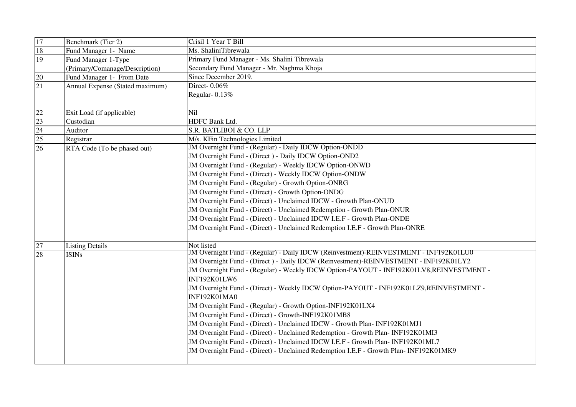| 17                                | Benchmark (Tier 2)                                                  | Crisil 1 Year T Bill                                                                         |  |
|-----------------------------------|---------------------------------------------------------------------|----------------------------------------------------------------------------------------------|--|
| 18                                | Fund Manager 1- Name                                                | Ms. ShaliniTibrewala                                                                         |  |
| 19                                | Fund Manager 1-Type<br>Primary Fund Manager - Ms. Shalini Tibrewala |                                                                                              |  |
| (Primary/Comanage/Description)    |                                                                     | Secondary Fund Manager - Mr. Naghma Khoja                                                    |  |
| 20                                | Fund Manager 1- From Date                                           | Since December 2019.                                                                         |  |
| 21                                | Annual Expense (Stated maximum)                                     | Direct-0.06%                                                                                 |  |
|                                   |                                                                     | Regular-0.13%                                                                                |  |
|                                   |                                                                     |                                                                                              |  |
| $\frac{22}{23}$                   | Exit Load (if applicable)                                           | Nil                                                                                          |  |
|                                   | Custodian                                                           | <b>HDFC Bank Ltd.</b>                                                                        |  |
| $\frac{1}{24}$<br>$\frac{25}{26}$ | Auditor                                                             | S.R. BATLIBOI & CO. LLP                                                                      |  |
|                                   | Registrar                                                           | M/s. KFin Technologies Limited                                                               |  |
|                                   | RTA Code (To be phased out)                                         | JM Overnight Fund - (Regular) - Daily IDCW Option-ONDD                                       |  |
|                                   |                                                                     | JM Overnight Fund - (Direct) - Daily IDCW Option-OND2                                        |  |
|                                   |                                                                     | JM Overnight Fund - (Regular) - Weekly IDCW Option-ONWD                                      |  |
|                                   |                                                                     | JM Overnight Fund - (Direct) - Weekly IDCW Option-ONDW                                       |  |
|                                   |                                                                     | JM Overnight Fund - (Regular) - Growth Option-ONRG                                           |  |
|                                   |                                                                     | JM Overnight Fund - (Direct) - Growth Option-ONDG                                            |  |
|                                   |                                                                     | JM Overnight Fund - (Direct) - Unclaimed IDCW - Growth Plan-ONUD                             |  |
|                                   |                                                                     | JM Overnight Fund - (Direct) - Unclaimed Redemption - Growth Plan-ONUR                       |  |
|                                   |                                                                     | JM Overnight Fund - (Direct) - Unclaimed IDCW I.E.F - Growth Plan-ONDE                       |  |
|                                   |                                                                     | JM Overnight Fund - (Direct) - Unclaimed Redemption I.E.F - Growth Plan-ONRE                 |  |
|                                   |                                                                     |                                                                                              |  |
| 27                                | <b>Listing Details</b>                                              | Not listed                                                                                   |  |
| 28                                | <b>ISINs</b>                                                        | <b>JM Overnight Fund - (Regular) - Daily IDCW (Reinvestment)-REINVESTMENT - INF192K01LU0</b> |  |
|                                   |                                                                     | JM Overnight Fund - (Direct) - Daily IDCW (Reinvestment)-REINVESTMENT - INF192K01LY2         |  |
|                                   |                                                                     | JM Overnight Fund - (Regular) - Weekly IDCW Option-PAYOUT - INF192K01LV8,REINVESTMENT -      |  |
|                                   |                                                                     | <b>INF192K01LW6</b>                                                                          |  |
|                                   |                                                                     | JM Overnight Fund - (Direct) - Weekly IDCW Option-PAYOUT - INF192K01LZ9,REINVESTMENT -       |  |
|                                   |                                                                     | INF192K01MA0                                                                                 |  |
|                                   |                                                                     | JM Overnight Fund - (Regular) - Growth Option-INF192K01LX4                                   |  |
|                                   |                                                                     | JM Overnight Fund - (Direct) - Growth-INF192K01MB8                                           |  |
|                                   |                                                                     | JM Overnight Fund - (Direct) - Unclaimed IDCW - Growth Plan- INF192K01MJ1                    |  |
|                                   |                                                                     | JM Overnight Fund - (Direct) - Unclaimed Redemption - Growth Plan-INF192K01MI3               |  |
|                                   |                                                                     | JM Overnight Fund - (Direct) - Unclaimed IDCW I.E.F - Growth Plan- INF192K01ML7              |  |
|                                   |                                                                     | JM Overnight Fund - (Direct) - Unclaimed Redemption I.E.F - Growth Plan- INF192K01MK9        |  |
|                                   |                                                                     |                                                                                              |  |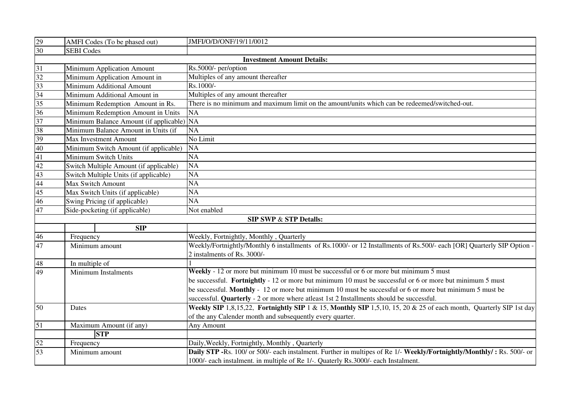| $\frac{29}{30}$ | AMFI Codes (To be phased out)                | JMFI/O/D/ONF/19/11/0012                                                                                                |  |
|-----------------|----------------------------------------------|------------------------------------------------------------------------------------------------------------------------|--|
|                 | <b>SEBI</b> Codes                            |                                                                                                                        |  |
|                 |                                              | <b>Investment Amount Details:</b>                                                                                      |  |
| $\overline{31}$ | Minimum Application Amount                   | Rs.5000/- per/option                                                                                                   |  |
|                 | Minimum Application Amount in                | Multiples of any amount thereafter                                                                                     |  |
| $\frac{32}{33}$ | Minimum Additional Amount                    | Rs.1000/-                                                                                                              |  |
| 34              | Minimum Additional Amount in                 | Multiples of any amount thereafter                                                                                     |  |
| 35              | Minimum Redemption Amount in Rs.             | There is no minimum and maximum limit on the amount/units which can be redeemed/switched-out.                          |  |
| 36              | Minimum Redemption Amount in Units           | <b>NA</b>                                                                                                              |  |
| 37              | Minimum Balance Amount (if applicable)       | <b>NA</b>                                                                                                              |  |
|                 | Minimum Balance Amount in Units (if          | $\overline{NA}$                                                                                                        |  |
| $\frac{38}{39}$ | Max Investment Amount                        | No Limit                                                                                                               |  |
| 40              | Minimum Switch Amount (if applicable)        | <b>NA</b>                                                                                                              |  |
| 41              | Minimum Switch Units                         | $\overline{NA}$                                                                                                        |  |
| 42              | NA<br>Switch Multiple Amount (if applicable) |                                                                                                                        |  |
| $\frac{43}{44}$ | Switch Multiple Units (if applicable)        | <b>NA</b>                                                                                                              |  |
|                 | Max Switch Amount                            | $\overline{NA}$                                                                                                        |  |
| $\frac{45}{46}$ | Max Switch Units (if applicable)             | $\overline{NA}$                                                                                                        |  |
|                 | Swing Pricing (if applicable)                | $\overline{NA}$                                                                                                        |  |
| 47              | Side-pocketing (if applicable)               | Not enabled                                                                                                            |  |
|                 |                                              | <b>SIP SWP &amp; STP Details:</b>                                                                                      |  |
|                 | <b>SIP</b>                                   |                                                                                                                        |  |
| 46              | Frequency                                    | Weekly, Fortnightly, Monthly, Quarterly                                                                                |  |
| 47              | Minimum amount                               | Weekly/Fortnightly/Monthly 6 installments of Rs.1000/- or 12 Installments of Rs.500/- each [OR] Quarterly SIP Option - |  |
|                 |                                              | 2 instalments of Rs. 3000/-                                                                                            |  |
| 48              | In multiple of                               |                                                                                                                        |  |
| 49              | <b>Minimum Instalments</b>                   | Weekly - 12 or more but minimum 10 must be successful or 6 or more but minimum 5 must                                  |  |
|                 |                                              | be successful. Fortnightly - 12 or more but minimum 10 must be successful or 6 or more but minimum 5 must              |  |
|                 |                                              | be successful. Monthly - 12 or more but minimum 10 must be successful or 6 or more but minimum 5 must be               |  |
|                 |                                              | successful. Quarterly - 2 or more where atleast 1st 2 Installments should be successful.                               |  |
| 50              | Dates                                        | Weekly SIP 1,8,15,22, Fortnightly SIP 1 & 15, Monthly SIP 1,5,10, 15, 20 & 25 of each month, Quarterly SIP 1st day     |  |
|                 |                                              | of the any Calender month and subsequently every quarter.                                                              |  |
| $\overline{51}$ | Maximum Amount (if any)                      | Any Amount                                                                                                             |  |
|                 | <b>STP</b>                                   |                                                                                                                        |  |
| 52              | Frequency                                    | Daily, Weekly, Fortnightly, Monthly, Quarterly                                                                         |  |
| 53              | Minimum amount                               | Daily STP -Rs. 100/ or 500/- each instalment. Further in multipes of Re 1/- Weekly/Fortnightly/Monthly/: Rs. 500/- or  |  |
|                 |                                              | 1000/- each instalment. in multiple of Re 1/-. Quaterly Rs.3000/- each Instalment.                                     |  |